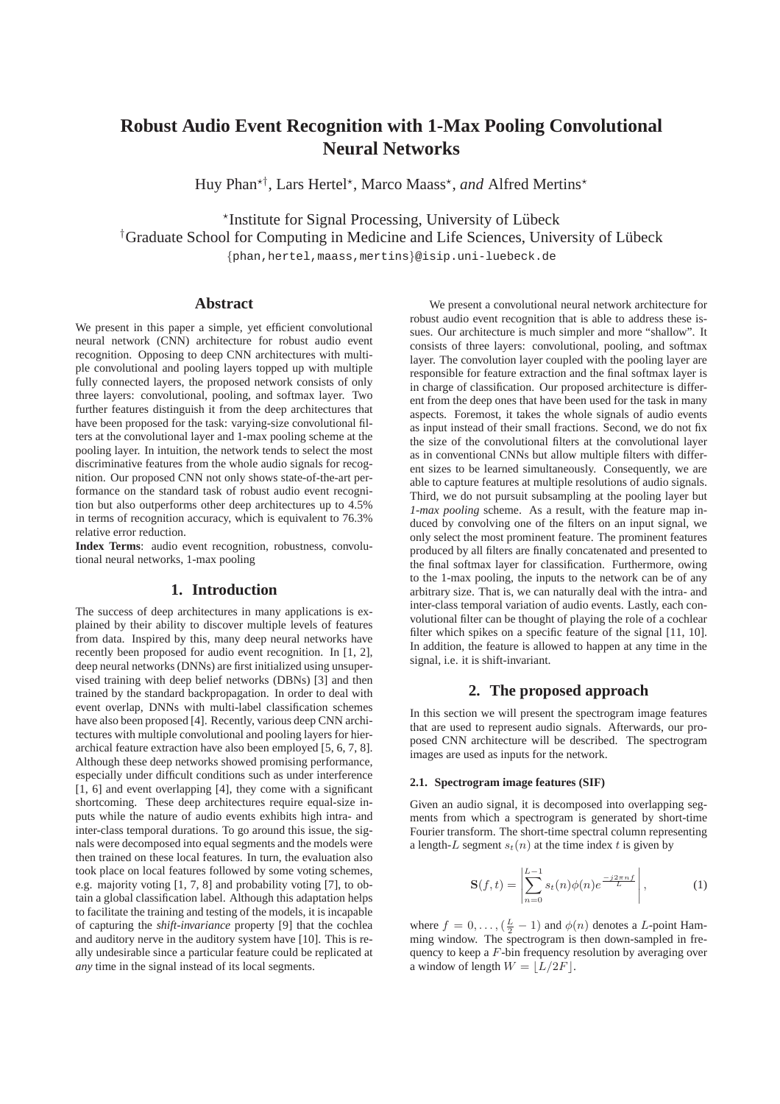# **Robust Audio Event Recognition with 1-Max Pooling Convolutional Neural Networks**

Huy Phan<sup>\*†</sup>, Lars Hertel<sup>\*</sup>, Marco Maass<sup>\*</sup>, and Alfred Mertins<sup>\*</sup>

\*Institute for Signal Processing, University of Lübeck

<sup>†</sup>Graduate School for Computing in Medicine and Life Sciences, University of Lübeck

{phan,hertel,maass,mertins}@isip.uni-luebeck.de

# **Abstract**

We present in this paper a simple, yet efficient convolutional neural network (CNN) architecture for robust audio event recognition. Opposing to deep CNN architectures with multiple convolutional and pooling layers topped up with multiple fully connected layers, the proposed network consists of only three layers: convolutional, pooling, and softmax layer. Two further features distinguish it from the deep architectures that have been proposed for the task: varying-size convolutional filters at the convolutional layer and 1-max pooling scheme at the pooling layer. In intuition, the network tends to select the most discriminative features from the whole audio signals for recognition. Our proposed CNN not only shows state-of-the-art performance on the standard task of robust audio event recognition but also outperforms other deep architectures up to 4.5% in terms of recognition accuracy, which is equivalent to 76.3% relative error reduction.

**Index Terms**: audio event recognition, robustness, convolutional neural networks, 1-max pooling

# **1. Introduction**

The success of deep architectures in many applications is explained by their ability to discover multiple levels of features from data. Inspired by this, many deep neural networks have recently been proposed for audio event recognition. In [1, 2], deep neural networks (DNNs) are first initialized using unsupervised training with deep belief networks (DBNs) [3] and then trained by the standard backpropagation. In order to deal with event overlap, DNNs with multi-label classification schemes have also been proposed [4]. Recently, various deep CNN architectures with multiple convolutional and pooling layers for hierarchical feature extraction have also been employed [5, 6, 7, 8]. Although these deep networks showed promising performance, especially under difficult conditions such as under interference [1, 6] and event overlapping [4], they come with a significant shortcoming. These deep architectures require equal-size inputs while the nature of audio events exhibits high intra- and inter-class temporal durations. To go around this issue, the signals were decomposed into equal segments and the models were then trained on these local features. In turn, the evaluation also took place on local features followed by some voting schemes, e.g. majority voting [1, 7, 8] and probability voting [7], to obtain a global classification label. Although this adaptation helps to facilitate the training and testing of the models, it is incapable of capturing the *shift-invariance* property [9] that the cochlea and auditory nerve in the auditory system have [10]. This is really undesirable since a particular feature could be replicated at *any* time in the signal instead of its local segments.

We present a convolutional neural network architecture for robust audio event recognition that is able to address these issues. Our architecture is much simpler and more "shallow". It consists of three layers: convolutional, pooling, and softmax layer. The convolution layer coupled with the pooling layer are responsible for feature extraction and the final softmax layer is in charge of classification. Our proposed architecture is different from the deep ones that have been used for the task in many aspects. Foremost, it takes the whole signals of audio events as input instead of their small fractions. Second, we do not fix the size of the convolutional filters at the convolutional layer as in conventional CNNs but allow multiple filters with different sizes to be learned simultaneously. Consequently, we are able to capture features at multiple resolutions of audio signals. Third, we do not pursuit subsampling at the pooling layer but *1-max pooling* scheme. As a result, with the feature map induced by convolving one of the filters on an input signal, we only select the most prominent feature. The prominent features produced by all filters are finally concatenated and presented to the final softmax layer for classification. Furthermore, owing to the 1-max pooling, the inputs to the network can be of any arbitrary size. That is, we can naturally deal with the intra- and inter-class temporal variation of audio events. Lastly, each convolutional filter can be thought of playing the role of a cochlear filter which spikes on a specific feature of the signal [11, 10]. In addition, the feature is allowed to happen at any time in the signal, i.e. it is shift-invariant.

# **2. The proposed approach**

In this section we will present the spectrogram image features that are used to represent audio signals. Afterwards, our proposed CNN architecture will be described. The spectrogram images are used as inputs for the network.

#### **2.1. Spectrogram image features (SIF)**

Given an audio signal, it is decomposed into overlapping segments from which a spectrogram is generated by short-time Fourier transform. The short-time spectral column representing a length-L segment  $s_t(n)$  at the time index t is given by

$$
\mathbf{S}(f,t) = \left| \sum_{n=0}^{L-1} s_t(n) \phi(n) e^{\frac{-j2\pi n f}{L}} \right|, \tag{1}
$$

where  $f = 0, \ldots, (\frac{L}{2} - 1)$  and  $\phi(n)$  denotes a L-point Hamming window. The spectrogram is then down-sampled in frequency to keep a F-bin frequency resolution by averaging over a window of length  $W = |L/2F|$ .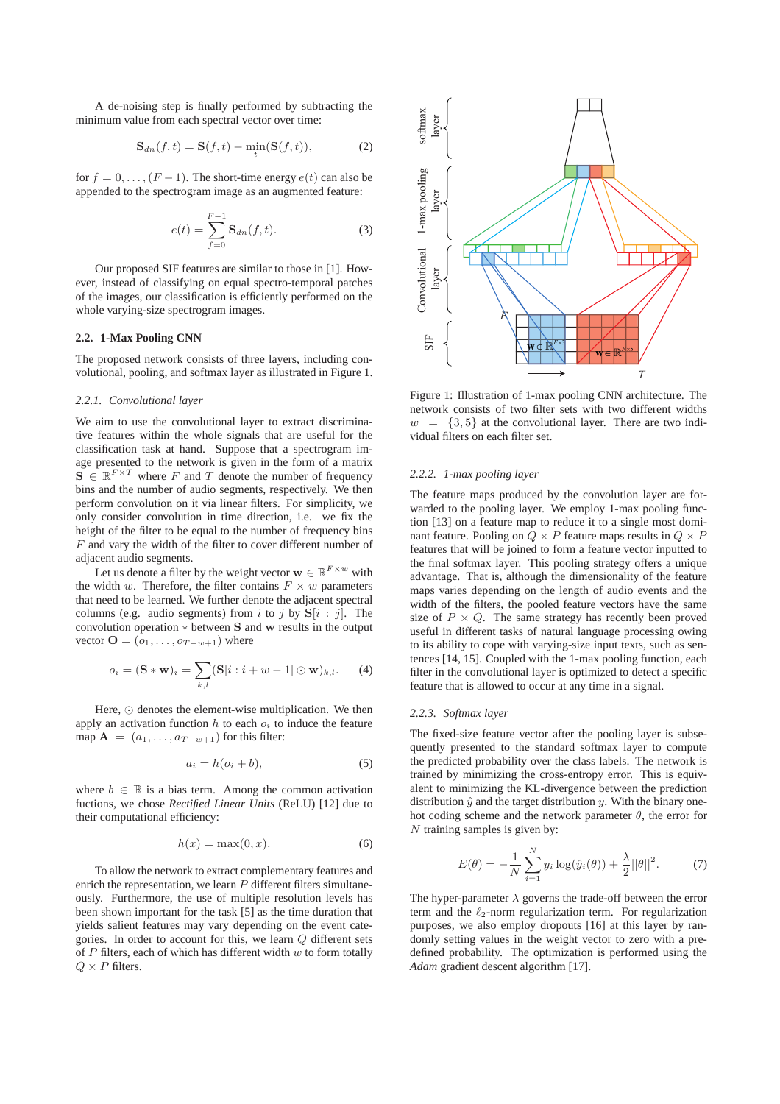A de-noising step is finally performed by subtracting the minimum value from each spectral vector over time:

$$
\mathbf{S}_{dn}(f,t) = \mathbf{S}(f,t) - \min_{t} (\mathbf{S}(f,t)),\tag{2}
$$

for  $f = 0, \ldots, (F - 1)$ . The short-time energy  $e(t)$  can also be appended to the spectrogram image as an augmented feature:

$$
e(t) = \sum_{f=0}^{F-1} \mathbf{S}_{dn}(f, t).
$$
 (3)

Our proposed SIF features are similar to those in [1]. However, instead of classifying on equal spectro-temporal patches of the images, our classification is efficiently performed on the whole varying-size spectrogram images.

## **2.2. 1-Max Pooling CNN**

The proposed network consists of three layers, including convolutional, pooling, and softmax layer as illustrated in Figure 1.

#### *2.2.1. Convolutional layer*

We aim to use the convolutional layer to extract discriminative features within the whole signals that are useful for the classification task at hand. Suppose that a spectrogram image presented to the network is given in the form of a matrix  $\mathbf{S} \in \mathbb{R}^{F \times T}$  where F and T denote the number of frequency bins and the number of audio segments, respectively. We then perform convolution on it via linear filters. For simplicity, we only consider convolution in time direction, i.e. we fix the height of the filter to be equal to the number of frequency bins F and vary the width of the filter to cover different number of adjacent audio segments.

Let us denote a filter by the weight vector  $\mathbf{w} \in \mathbb{R}^{F \times w}$  with the width w. Therefore, the filter contains  $F \times w$  parameters that need to be learned. We further denote the adjacent spectral columns (e.g. audio segments) from i to j by  $S[i : j]$ . The convolution operation ∗ between S and w results in the output vector  $\mathbf{O} = (o_1, \ldots, o_{T-w+1})$  where

$$
o_i = (\mathbf{S} * \mathbf{w})_i = \sum_{k,l} (\mathbf{S}[i : i + w - 1] \odot \mathbf{w})_{k,l}.
$$
 (4)

Here, ⊙ denotes the element-wise multiplication. We then apply an activation function  $h$  to each  $o_i$  to induce the feature map  $\mathbf{A} = (a_1, \dots, a_{T-w+1})$  for this filter:

$$
a_i = h(o_i + b), \tag{5}
$$

where  $b \in \mathbb{R}$  is a bias term. Among the common activation fuctions, we chose *Rectified Linear Units* (ReLU) [12] due to their computational efficiency:

$$
h(x) = \max(0, x). \tag{6}
$$

To allow the network to extract complementary features and enrich the representation, we learn  $P$  different filters simultaneously. Furthermore, the use of multiple resolution levels has been shown important for the task [5] as the time duration that yields salient features may vary depending on the event categories. In order to account for this, we learn Q different sets of  $P$  filters, each of which has different width  $w$  to form totally  $Q \times P$  filters.



Figure 1: Illustration of 1-max pooling CNN architecture. The network consists of two filter sets with two different widths  $w = \{3, 5\}$  at the convolutional layer. There are two individual filters on each filter set.

#### *2.2.2. 1-max pooling layer*

The feature maps produced by the convolution layer are forwarded to the pooling layer. We employ 1-max pooling function [13] on a feature map to reduce it to a single most dominant feature. Pooling on  $Q \times P$  feature maps results in  $Q \times P$ features that will be joined to form a feature vector inputted to the final softmax layer. This pooling strategy offers a unique advantage. That is, although the dimensionality of the feature maps varies depending on the length of audio events and the width of the filters, the pooled feature vectors have the same size of  $P \times Q$ . The same strategy has recently been proved useful in different tasks of natural language processing owing to its ability to cope with varying-size input texts, such as sentences [14, 15]. Coupled with the 1-max pooling function, each filter in the convolutional layer is optimized to detect a specific feature that is allowed to occur at any time in a signal.

#### *2.2.3. Softmax layer*

The fixed-size feature vector after the pooling layer is subsequently presented to the standard softmax layer to compute the predicted probability over the class labels. The network is trained by minimizing the cross-entropy error. This is equivalent to minimizing the KL-divergence between the prediction distribution  $\hat{y}$  and the target distribution y. With the binary onehot coding scheme and the network parameter  $\theta$ , the error for N training samples is given by:

$$
E(\theta) = -\frac{1}{N} \sum_{i=1}^{N} y_i \log(\hat{y}_i(\theta)) + \frac{\lambda}{2} ||\theta||^2.
$$
 (7)

The hyper-parameter  $\lambda$  governs the trade-off between the error term and the  $\ell_2$ -norm regularization term. For regularization purposes, we also employ dropouts [16] at this layer by randomly setting values in the weight vector to zero with a predefined probability. The optimization is performed using the *Adam* gradient descent algorithm [17].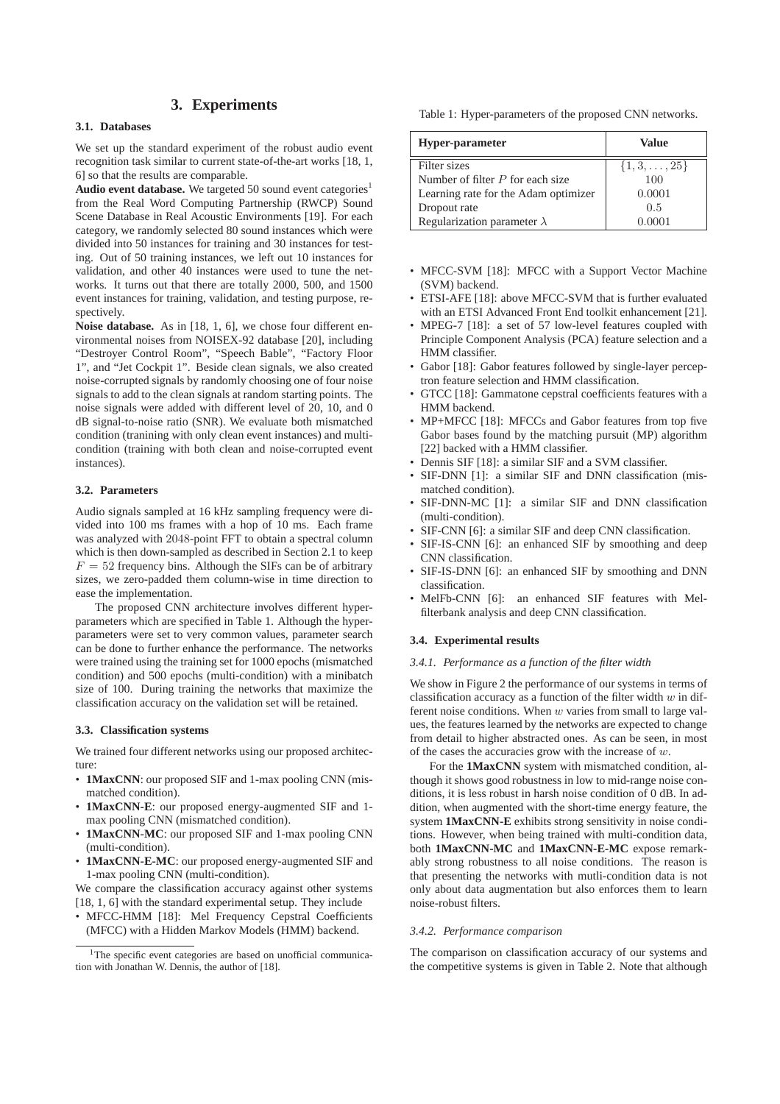# **3. Experiments**

## **3.1. Databases**

We set up the standard experiment of the robust audio event recognition task similar to current state-of-the-art works [18, 1, 6] so that the results are comparable.

Audio event database. We targeted 50 sound event categories<sup>1</sup> from the Real Word Computing Partnership (RWCP) Sound Scene Database in Real Acoustic Environments [19]. For each category, we randomly selected 80 sound instances which were divided into 50 instances for training and 30 instances for testing. Out of 50 training instances, we left out 10 instances for validation, and other 40 instances were used to tune the networks. It turns out that there are totally 2000, 500, and 1500 event instances for training, validation, and testing purpose, respectively.

**Noise database.** As in [18, 1, 6], we chose four different environmental noises from NOISEX-92 database [20], including "Destroyer Control Room", "Speech Bable", "Factory Floor 1", and "Jet Cockpit 1". Beside clean signals, we also created noise-corrupted signals by randomly choosing one of four noise signals to add to the clean signals at random starting points. The noise signals were added with different level of 20, 10, and 0 dB signal-to-noise ratio (SNR). We evaluate both mismatched condition (tranining with only clean event instances) and multicondition (training with both clean and noise-corrupted event instances).

# **3.2. Parameters**

Audio signals sampled at 16 kHz sampling frequency were divided into 100 ms frames with a hop of 10 ms. Each frame was analyzed with 2048-point FFT to obtain a spectral column which is then down-sampled as described in Section 2.1 to keep  $F = 52$  frequency bins. Although the SIFs can be of arbitrary sizes, we zero-padded them column-wise in time direction to ease the implementation.

The proposed CNN architecture involves different hyperparameters which are specified in Table 1. Although the hyperparameters were set to very common values, parameter search can be done to further enhance the performance. The networks were trained using the training set for 1000 epochs (mismatched condition) and 500 epochs (multi-condition) with a minibatch size of 100. During training the networks that maximize the classification accuracy on the validation set will be retained.

### **3.3. Classification systems**

We trained four different networks using our proposed architecture:

- **1MaxCNN**: our proposed SIF and 1-max pooling CNN (mismatched condition).
- **1MaxCNN-E**: our proposed energy-augmented SIF and 1 max pooling CNN (mismatched condition).
- **1MaxCNN-MC**: our proposed SIF and 1-max pooling CNN (multi-condition).
- **1MaxCNN-E-MC**: our proposed energy-augmented SIF and 1-max pooling CNN (multi-condition).

We compare the classification accuracy against other systems [18, 1, 6] with the standard experimental setup. They include

• MFCC-HMM [18]: Mel Frequency Cepstral Coefficients (MFCC) with a Hidden Markov Models (HMM) backend.

Table 1: Hyper-parameters of the proposed CNN networks.

| Hyper-parameter                      | Value                  |  |  |
|--------------------------------------|------------------------|--|--|
| Filter sizes                         | $\{1, 3, \ldots, 25\}$ |  |  |
| Number of filter $P$ for each size   | 100                    |  |  |
| Learning rate for the Adam optimizer | 0.0001                 |  |  |
| Dropout rate                         | 0.5                    |  |  |
| Regularization parameter $\lambda$   |                        |  |  |

- MFCC-SVM [18]: MFCC with a Support Vector Machine (SVM) backend.
- ETSI-AFE [18]: above MFCC-SVM that is further evaluated with an ETSI Advanced Front End toolkit enhancement [21].
- MPEG-7 [18]: a set of 57 low-level features coupled with Principle Component Analysis (PCA) feature selection and a HMM classifier.
- Gabor [18]: Gabor features followed by single-layer perceptron feature selection and HMM classification.
- GTCC [18]: Gammatone cepstral coefficients features with a HMM backend.
- MP+MFCC [18]: MFCCs and Gabor features from top five Gabor bases found by the matching pursuit (MP) algorithm [22] backed with a HMM classifier.
- Dennis SIF [18]: a similar SIF and a SVM classifier.
- SIF-DNN [1]: a similar SIF and DNN classification (mismatched condition).
- SIF-DNN-MC [1]: a similar SIF and DNN classification (multi-condition).
- SIF-CNN [6]: a similar SIF and deep CNN classification.
- SIF-IS-CNN [6]: an enhanced SIF by smoothing and deep CNN classification.
- SIF-IS-DNN [6]: an enhanced SIF by smoothing and DNN classification.
- MelFb-CNN [6]: an enhanced SIF features with Melfilterbank analysis and deep CNN classification.

# **3.4. Experimental results**

#### *3.4.1. Performance as a function of the filter width*

We show in Figure 2 the performance of our systems in terms of classification accuracy as a function of the filter width  $w$  in different noise conditions. When  $w$  varies from small to large values, the features learned by the networks are expected to change from detail to higher abstracted ones. As can be seen, in most of the cases the accuracies grow with the increase of  $w$ .

For the **1MaxCNN** system with mismatched condition, although it shows good robustness in low to mid-range noise conditions, it is less robust in harsh noise condition of 0 dB. In addition, when augmented with the short-time energy feature, the system **1MaxCNN-E** exhibits strong sensitivity in noise conditions. However, when being trained with multi-condition data, both **1MaxCNN-MC** and **1MaxCNN-E-MC** expose remarkably strong robustness to all noise conditions. The reason is that presenting the networks with mutli-condition data is not only about data augmentation but also enforces them to learn noise-robust filters.

#### *3.4.2. Performance comparison*

The comparison on classification accuracy of our systems and the competitive systems is given in Table 2. Note that although

<sup>&</sup>lt;sup>1</sup>The specific event categories are based on unofficial communication with Jonathan W. Dennis, the author of [18].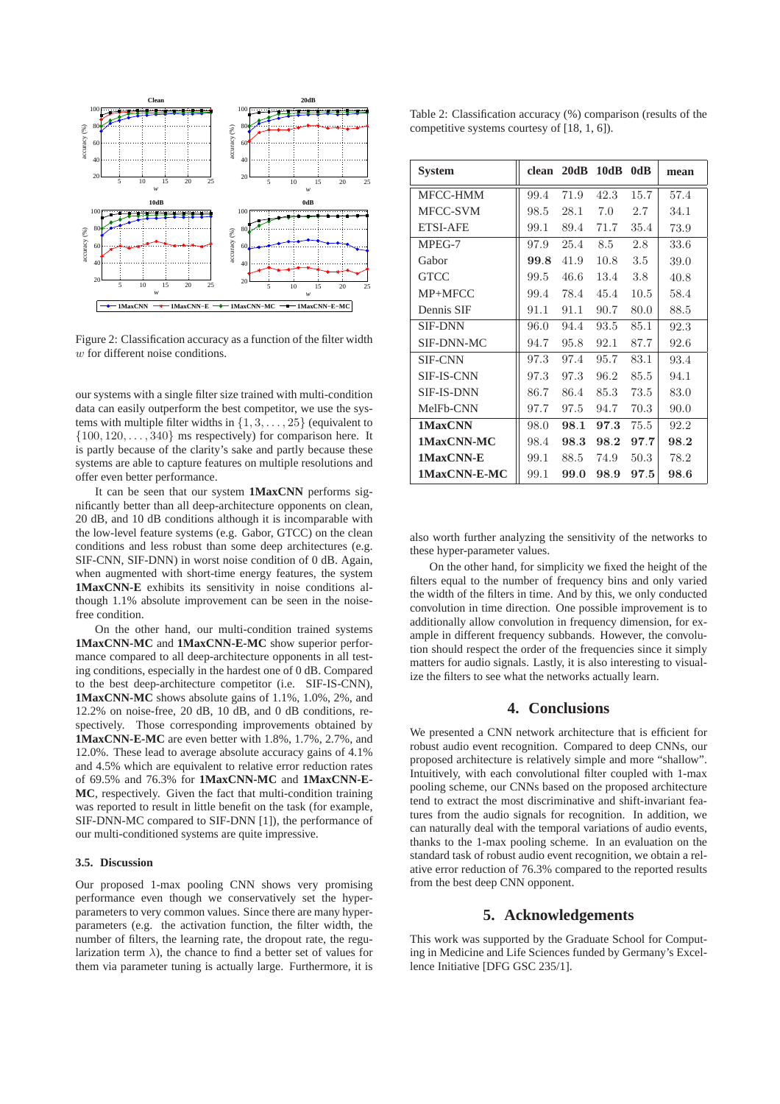

Figure 2: Classification accuracy as a function of the filter width w for different noise conditions.

our systems with a single filter size trained with multi-condition data can easily outperform the best competitor, we use the systems with multiple filter widths in  $\{1, 3, \ldots, 25\}$  (equivalent to  $\{100, 120, \ldots, 340\}$  ms respectively) for comparison here. It is partly because of the clarity's sake and partly because these systems are able to capture features on multiple resolutions and offer even better performance.

It can be seen that our system **1MaxCNN** performs significantly better than all deep-architecture opponents on clean, 20 dB, and 10 dB conditions although it is incomparable with the low-level feature systems (e.g. Gabor, GTCC) on the clean conditions and less robust than some deep architectures (e.g. SIF-CNN, SIF-DNN) in worst noise condition of 0 dB. Again, when augmented with short-time energy features, the system **1MaxCNN-E** exhibits its sensitivity in noise conditions although 1.1% absolute improvement can be seen in the noisefree condition.

On the other hand, our multi-condition trained systems **1MaxCNN-MC** and **1MaxCNN-E-MC** show superior performance compared to all deep-architecture opponents in all testing conditions, especially in the hardest one of 0 dB. Compared to the best deep-architecture competitor (i.e. SIF-IS-CNN), **1MaxCNN-MC** shows absolute gains of 1.1%, 1.0%, 2%, and 12.2% on noise-free, 20 dB, 10 dB, and 0 dB conditions, respectively. Those corresponding improvements obtained by **1MaxCNN-E-MC** are even better with 1.8%, 1.7%, 2.7%, and 12.0%. These lead to average absolute accuracy gains of 4.1% and 4.5% which are equivalent to relative error reduction rates of 69.5% and 76.3% for **1MaxCNN-MC** and **1MaxCNN-E-MC**, respectively. Given the fact that multi-condition training was reported to result in little benefit on the task (for example, SIF-DNN-MC compared to SIF-DNN [1]), the performance of our multi-conditioned systems are quite impressive.

#### **3.5. Discussion**

Our proposed 1-max pooling CNN shows very promising performance even though we conservatively set the hyperparameters to very common values. Since there are many hyperparameters (e.g. the activation function, the filter width, the number of filters, the learning rate, the dropout rate, the regularization term  $\lambda$ ), the chance to find a better set of values for them via parameter tuning is actually large. Furthermore, it is

Table 2: Classification accuracy (%) comparison (results of the competitive systems courtesy of [18, 1, 6]).

| <b>System</b>     |      | clean 20dB 10dB |      | 0dR  | mean |
|-------------------|------|-----------------|------|------|------|
| MFCC-HMM          | 99.4 | 71.9            | 42.3 | 15.7 | 57.4 |
| MFCC-SVM          | 98.5 | 28.1            | 7.0  | 2.7  | 34.1 |
| <b>ETSI-AFE</b>   | 99.1 | 89.4            | 71.7 | 35.4 | 73.9 |
| MPEG-7            | 97.9 | 25.4            | 8.5  | 2.8  | 33.6 |
| Gabor             | 99.8 | 41.9            | 10.8 | 3.5  | 39.0 |
| GTCC              | 99.5 | 46.6            | 13.4 | 3.8  | 40.8 |
| MP+MFCC           | 99.4 | 78.4            | 45.4 | 10.5 | 58.4 |
| Dennis SIF        | 91.1 | 91.1            | 90.7 | 80.0 | 88.5 |
| <b>SIF-DNN</b>    | 96.0 | 94.4            | 93.5 | 85.1 | 92.3 |
| SIF-DNN-MC        | 94.7 | 95.8            | 92.1 | 87.7 | 92.6 |
| <b>SIF-CNN</b>    | 97.3 | 97.4            | 95.7 | 83.1 | 93.4 |
| <b>SIF-IS-CNN</b> | 97.3 | 97.3            | 96.2 | 85.5 | 94.1 |
| <b>SIF-IS-DNN</b> | 86.7 | 86.4            | 85.3 | 73.5 | 83.0 |
| MelFb-CNN         | 97.7 | 97.5            | 94.7 | 70.3 | 90.0 |
| 1MaxCNN           | 98.0 | 98.1            | 97.3 | 75.5 | 92.2 |
| 1MaxCNN-MC        | 98.4 | 98.3            | 98.2 | 97.7 | 98.2 |
| 1MaxCNN-E         | 99.1 | 88.5            | 74.9 | 50.3 | 78.2 |
| 1MaxCNN-E-MC      | 99.1 | 99.0            | 98.9 | 97.5 | 98.6 |

also worth further analyzing the sensitivity of the networks to these hyper-parameter values.

On the other hand, for simplicity we fixed the height of the filters equal to the number of frequency bins and only varied the width of the filters in time. And by this, we only conducted convolution in time direction. One possible improvement is to additionally allow convolution in frequency dimension, for example in different frequency subbands. However, the convolution should respect the order of the frequencies since it simply matters for audio signals. Lastly, it is also interesting to visualize the filters to see what the networks actually learn.

# **4. Conclusions**

We presented a CNN network architecture that is efficient for robust audio event recognition. Compared to deep CNNs, our proposed architecture is relatively simple and more "shallow". Intuitively, with each convolutional filter coupled with 1-max pooling scheme, our CNNs based on the proposed architecture tend to extract the most discriminative and shift-invariant features from the audio signals for recognition. In addition, we can naturally deal with the temporal variations of audio events, thanks to the 1-max pooling scheme. In an evaluation on the standard task of robust audio event recognition, we obtain a relative error reduction of 76.3% compared to the reported results from the best deep CNN opponent.

# **5. Acknowledgements**

This work was supported by the Graduate School for Computing in Medicine and Life Sciences funded by Germany's Excellence Initiative [DFG GSC 235/1].